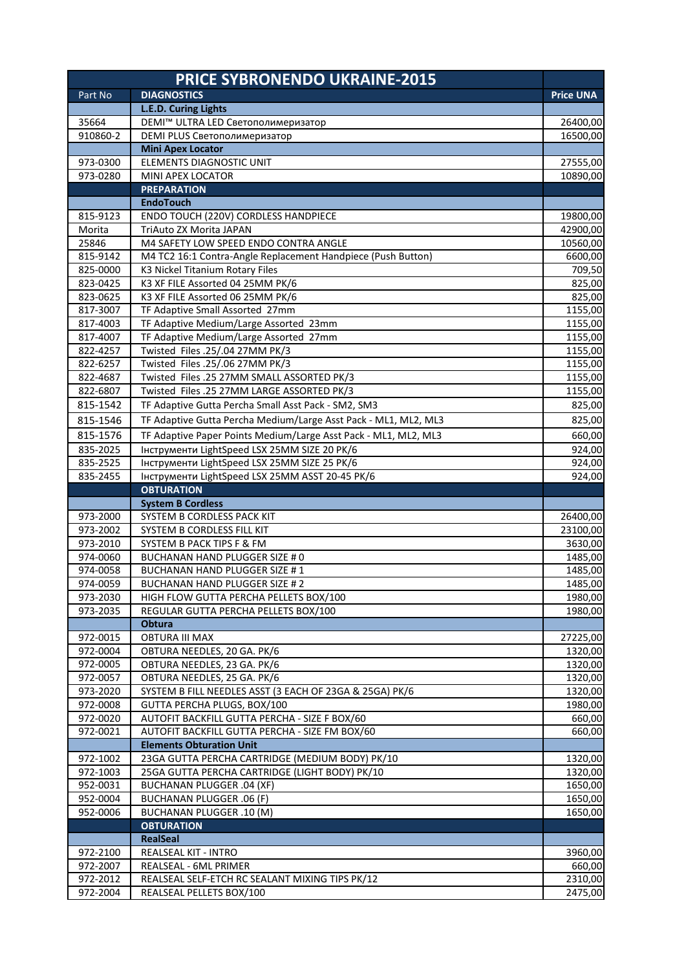|                      | <b>PRICE SYBRONENDO UKRAINE-2015</b>                                                              |                    |
|----------------------|---------------------------------------------------------------------------------------------------|--------------------|
| Part No              | <b>DIAGNOSTICS</b>                                                                                | <b>Price UNA</b>   |
|                      | L.E.D. Curing Lights                                                                              |                    |
| 35664                | DEMI™ ULTRA LED Светополимеризатор                                                                | 26400,00           |
| 910860-2             | DEMI PLUS Светополимеризатор                                                                      | 16500,00           |
|                      | <b>Mini Apex Locator</b>                                                                          |                    |
| 973-0300             | ELEMENTS DIAGNOSTIC UNIT                                                                          | 27555,00           |
| 973-0280             | MINI APEX LOCATOR                                                                                 | 10890,00           |
|                      | <b>PREPARATION</b><br><b>EndoTouch</b>                                                            |                    |
| 815-9123             | ENDO TOUCH (220V) CORDLESS HANDPIECE                                                              | 19800,00           |
| Morita               | TriAuto ZX Morita JAPAN                                                                           | 42900,00           |
| 25846                | M4 SAFETY LOW SPEED ENDO CONTRA ANGLE                                                             | 10560,00           |
| 815-9142             | M4 TC2 16:1 Contra-Angle Replacement Handpiece (Push Button)                                      | 6600,00            |
| 825-0000             | K3 Nickel Titanium Rotary Files                                                                   | 709,50             |
| 823-0425             | K3 XF FILE Assorted 04 25MM PK/6                                                                  | 825,00             |
| 823-0625             | K3 XF FILE Assorted 06 25MM PK/6                                                                  | 825,00             |
| 817-3007             | TF Adaptive Small Assorted 27mm                                                                   | 1155,00            |
| 817-4003             | TF Adaptive Medium/Large Assorted 23mm                                                            | 1155,00            |
| 817-4007             | TF Adaptive Medium/Large Assorted 27mm                                                            | 1155,00            |
| 822-4257             | Twisted Files .25/.04 27MM PK/3                                                                   | 1155,00            |
| 822-6257             | Twisted Files .25/.06 27MM PK/3                                                                   | 1155,00            |
| 822-4687             | Twisted Files .25 27MM SMALL ASSORTED PK/3                                                        | 1155,00            |
| 822-6807             | Twisted Files .25 27MM LARGE ASSORTED PK/3                                                        | 1155,00            |
| 815-1542             | TF Adaptive Gutta Percha Small Asst Pack - SM2, SM3                                               | 825,00             |
| 815-1546             | TF Adaptive Gutta Percha Medium/Large Asst Pack - ML1, ML2, ML3                                   | 825,00             |
| 815-1576             | TF Adaptive Paper Points Medium/Large Asst Pack - ML1, ML2, ML3                                   | 660,00             |
| 835-2025             | Інструменти LightSpeed LSX 25MM SIZE 20 РК/6                                                      | 924,00             |
| 835-2525             | Інструменти LightSpeed LSX 25MM SIZE 25 РК/6                                                      | 924,00             |
| 835-2455             | Інструменти LightSpeed LSX 25MM ASST 20-45 РК/6                                                   | 924,00             |
|                      | <b>OBTURATION</b><br><b>System B Cordless</b>                                                     |                    |
| 973-2000             | SYSTEM B CORDLESS PACK KIT                                                                        | 26400,00           |
| 973-2002             | SYSTEM B CORDLESS FILL KIT                                                                        |                    |
| 973-2010             |                                                                                                   |                    |
|                      | SYSTEM B PACK TIPS F & FM                                                                         | 23100,00           |
| 974-0060             | <b>BUCHANAN HAND PLUGGER SIZE # 0</b>                                                             | 3630,00<br>1485,00 |
| 974-0058             | BUCHANAN HAND PLUGGER SIZE #1                                                                     | 1485,00            |
| 974-0059             | BUCHANAN HAND PLUGGER SIZE # 2                                                                    |                    |
| 973-2030             | HIGH FLOW GUTTA PERCHA PELLETS BOX/100                                                            | 1980,00            |
| 973-2035             | REGULAR GUTTA PERCHA PELLETS BOX/100                                                              | 1980,00            |
|                      | <b>Obtura</b>                                                                                     | 1485,00            |
| 972-0015             | <b>OBTURA III MAX</b>                                                                             | 27225,00           |
| 972-0004             | OBTURA NEEDLES, 20 GA. PK/6                                                                       | 1320,00            |
| 972-0005             | OBTURA NEEDLES, 23 GA. PK/6                                                                       | 1320,00            |
| 972-0057             | OBTURA NEEDLES, 25 GA. PK/6                                                                       | 1320,00            |
| 973-2020             | SYSTEM B FILL NEEDLES ASST (3 EACH OF 23GA & 25GA) PK/6                                           | 1320,00            |
| 972-0008             | GUTTA PERCHA PLUGS, BOX/100                                                                       | 1980,00            |
| 972-0020             | AUTOFIT BACKFILL GUTTA PERCHA - SIZE F BOX/60                                                     | 660,00             |
| 972-0021             | AUTOFIT BACKFILL GUTTA PERCHA - SIZE FM BOX/60                                                    | 660,00             |
|                      | <b>Elements Obturation Unit</b>                                                                   |                    |
| 972-1002<br>972-1003 | 23GA GUTTA PERCHA CARTRIDGE (MEDIUM BODY) PK/10<br>25GA GUTTA PERCHA CARTRIDGE (LIGHT BODY) PK/10 | 1320,00<br>1320,00 |
| 952-0031             | <b>BUCHANAN PLUGGER .04 (XF)</b>                                                                  | 1650,00            |
| 952-0004             | <b>BUCHANAN PLUGGER .06 (F)</b>                                                                   | 1650,00            |
| 952-0006             | <b>BUCHANAN PLUGGER .10 (M)</b>                                                                   | 1650,00            |
|                      | <b>OBTURATION</b>                                                                                 |                    |
|                      | <b>RealSeal</b>                                                                                   |                    |
| 972-2100             | REALSEAL KIT - INTRO                                                                              | 3960,00            |
| 972-2007             | REALSEAL - 6ML PRIMER                                                                             | 660,00             |
| 972-2012<br>972-2004 | REALSEAL SELF-ETCH RC SEALANT MIXING TIPS PK/12<br>REALSEAL PELLETS BOX/100                       | 2310,00<br>2475,00 |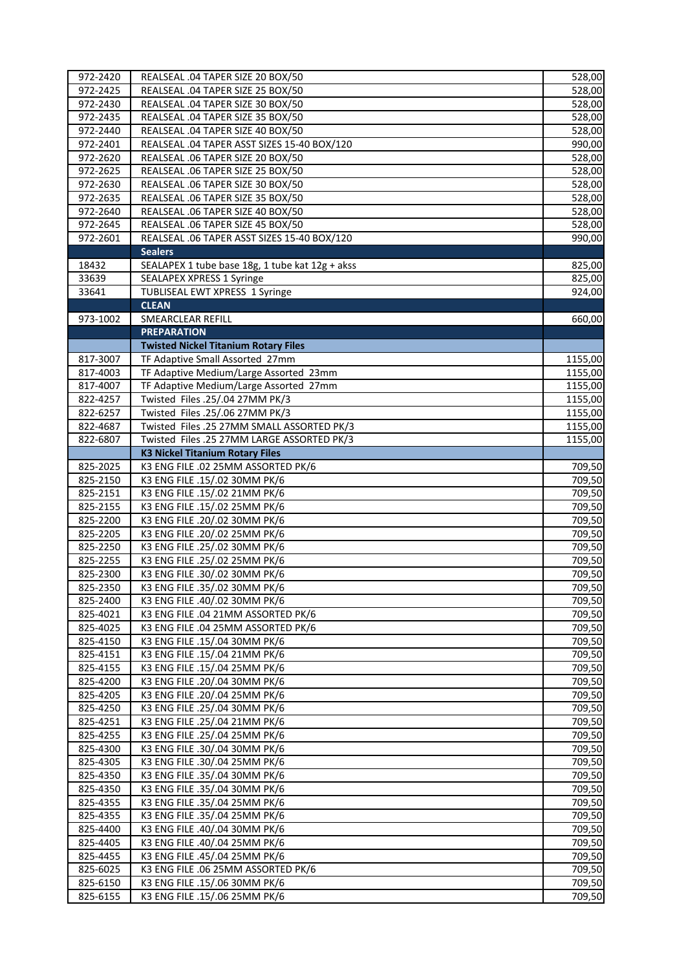| 972-2420             | REALSEAL .04 TAPER SIZE 20 BOX/50                                                   | 528,00           |
|----------------------|-------------------------------------------------------------------------------------|------------------|
| 972-2425             | REALSEAL .04 TAPER SIZE 25 BOX/50                                                   | 528,00           |
| 972-2430             | REALSEAL .04 TAPER SIZE 30 BOX/50                                                   | 528,00           |
| 972-2435             | REALSEAL .04 TAPER SIZE 35 BOX/50                                                   | 528,00           |
| 972-2440             | REALSEAL .04 TAPER SIZE 40 BOX/50                                                   | 528,00           |
| 972-2401             | REALSEAL .04 TAPER ASST SIZES 15-40 BOX/120                                         | 990,00           |
| 972-2620             | REALSEAL .06 TAPER SIZE 20 BOX/50                                                   | 528,00           |
| 972-2625             | REALSEAL .06 TAPER SIZE 25 BOX/50                                                   | 528,00           |
| 972-2630             | REALSEAL .06 TAPER SIZE 30 BOX/50                                                   | 528,00           |
| 972-2635             | REALSEAL .06 TAPER SIZE 35 BOX/50                                                   | 528,00           |
| 972-2640             | REALSEAL .06 TAPER SIZE 40 BOX/50                                                   | 528,00           |
| 972-2645             | REALSEAL .06 TAPER SIZE 45 BOX/50                                                   | 528,00           |
| 972-2601             | REALSEAL .06 TAPER ASST SIZES 15-40 BOX/120                                         | 990,00           |
|                      | <b>Sealers</b>                                                                      |                  |
| 18432<br>33639       | SEALAPEX 1 tube base 18g, 1 tube kat 12g + akss<br><b>SEALAPEX XPRESS 1 Syringe</b> | 825,00<br>825,00 |
| 33641                | TUBLISEAL EWT XPRESS 1 Syringe                                                      | 924,00           |
|                      | <b>CLEAN</b>                                                                        |                  |
| 973-1002             | <b>SMEARCLEAR REFILL</b>                                                            | 660,00           |
|                      | <b>PREPARATION</b>                                                                  |                  |
|                      | <b>Twisted Nickel Titanium Rotary Files</b>                                         |                  |
| 817-3007             | TF Adaptive Small Assorted 27mm                                                     | 1155,00          |
| 817-4003             | TF Adaptive Medium/Large Assorted 23mm                                              | 1155,00          |
| 817-4007             | TF Adaptive Medium/Large Assorted 27mm                                              | 1155,00          |
| 822-4257             | Twisted Files .25/.04 27MM PK/3                                                     | 1155,00          |
| 822-6257             | Twisted Files .25/.06 27MM PK/3                                                     | 1155,00          |
| 822-4687             | Twisted Files .25 27MM SMALL ASSORTED PK/3                                          | 1155,00          |
| 822-6807             | Twisted Files .25 27MM LARGE ASSORTED PK/3                                          | 1155,00          |
|                      | <b>K3 Nickel Titanium Rotary Files</b>                                              |                  |
| 825-2025             | K3 ENG FILE .02 25MM ASSORTED PK/6                                                  | 709,50           |
| 825-2150             | K3 ENG FILE .15/.02 30MM PK/6                                                       | 709,50           |
| 825-2151             | K3 ENG FILE .15/.02 21MM PK/6                                                       | 709,50           |
| 825-2155<br>825-2200 | K3 ENG FILE .15/.02 25MM PK/6<br>K3 ENG FILE .20/.02 30MM PK/6                      | 709,50           |
| 825-2205             | K3 ENG FILE .20/.02 25MM PK/6                                                       | 709,50<br>709,50 |
| 825-2250             | K3 ENG FILE .25/.02 30MM PK/6                                                       | 709,50           |
| 825-2255             | K3 ENG FILE .25/.02 25MM PK/6                                                       | 709,50           |
| 825-2300             | K3 ENG FILE .30/.02 30MM PK/6                                                       | 709,50           |
| 825-2350             | K3 ENG FILE .35/.02 30MM PK/6                                                       | 709,50           |
| 825-2400             | K3 ENG FILE .40/.02 30MM PK/6                                                       | 709,50           |
| 825-4021             | K3 ENG FILE .04 21MM ASSORTED PK/6                                                  | 709,50           |
| 825-4025             | K3 ENG FILE .04 25MM ASSORTED PK/6                                                  | 709,50           |
| 825-4150             | K3 ENG FILE .15/.04 30MM PK/6                                                       | 709,50           |
| 825-4151             | K3 ENG FILE .15/.04 21MM PK/6                                                       | 709,50           |
| 825-4155             | K3 ENG FILE .15/.04 25MM PK/6                                                       | 709,50           |
| 825-4200             | K3 ENG FILE .20/.04 30MM PK/6                                                       | 709,50           |
| 825-4205             | K3 ENG FILE .20/.04 25MM PK/6                                                       | 709,50           |
| 825-4250             | K3 ENG FILE .25/.04 30MM PK/6                                                       | 709,50           |
| 825-4251             | K3 ENG FILE .25/.04 21MM PK/6                                                       | 709,50           |
| 825-4255             | K3 ENG FILE .25/.04 25MM PK/6                                                       | 709,50           |
| 825-4300             | K3 ENG FILE .30/.04 30MM PK/6                                                       | 709,50           |
| 825-4305             | K3 ENG FILE .30/.04 25MM PK/6                                                       | 709,50           |
| 825-4350<br>825-4350 | K3 ENG FILE .35/.04 30MM PK/6<br>K3 ENG FILE .35/.04 30MM PK/6                      | 709,50<br>709,50 |
| 825-4355             | K3 ENG FILE .35/.04 25MM PK/6                                                       | 709,50           |
| 825-4355             | K3 ENG FILE .35/.04 25MM PK/6                                                       | 709,50           |
| 825-4400             | K3 ENG FILE .40/.04 30MM PK/6                                                       | 709,50           |
| 825-4405             | K3 ENG FILE .40/.04 25MM PK/6                                                       | 709,50           |
| 825-4455             | K3 ENG FILE .45/.04 25MM PK/6                                                       | 709,50           |
| 825-6025             | K3 ENG FILE .06 25MM ASSORTED PK/6                                                  | 709,50           |
| 825-6150             | K3 ENG FILE .15/.06 30MM PK/6                                                       | 709,50           |
| 825-6155             | K3 ENG FILE .15/.06 25MM PK/6                                                       | 709,50           |